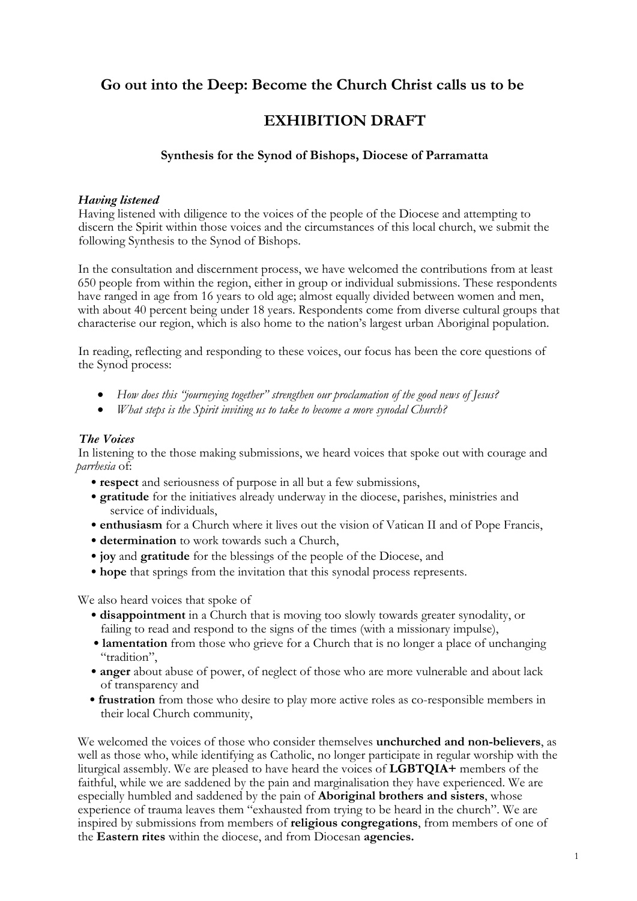# **Go out into the Deep: Become the Church Christ calls us to be**

## **EXHIBITION DRAFT**

## **Synthesis for the Synod of Bishops, Diocese of Parramatta**

#### *Having listened*

Having listened with diligence to the voices of the people of the Diocese and attempting to discern the Spirit within those voices and the circumstances of this local church, we submit the following Synthesis to the Synod of Bishops.

In the consultation and discernment process, we have welcomed the contributions from at least 650 people from within the region, either in group or individual submissions. These respondents have ranged in age from 16 years to old age; almost equally divided between women and men, with about 40 percent being under 18 years. Respondents come from diverse cultural groups that characterise our region, which is also home to the nation's largest urban Aboriginal population.

In reading, reflecting and responding to these voices, our focus has been the core questions of the Synod process:

- *How does this "journeying together" strengthen our proclamation of the good news of Jesus?*
- *What steps is the Spirit inviting us to take to become a more synodal Church?*

### *The Voices*

In listening to the those making submissions, we heard voices that spoke out with courage and *parrhesia* of:

- **respect** and seriousness of purpose in all but a few submissions,
- **gratitude** for the initiatives already underway in the diocese, parishes, ministries and service of individuals,
- **enthusiasm** for a Church where it lives out the vision of Vatican II and of Pope Francis,
- **determination** to work towards such a Church,
- **joy** and **gratitude** for the blessings of the people of the Diocese, and
- **hope** that springs from the invitation that this synodal process represents.

We also heard voices that spoke of

- **disappointment** in a Church that is moving too slowly towards greater synodality, or failing to read and respond to the signs of the times (with a missionary impulse),
- **lamentation** from those who grieve for a Church that is no longer a place of unchanging "tradition",
- **anger** about abuse of power, of neglect of those who are more vulnerable and about lack of transparency and
- **frustration** from those who desire to play more active roles as co-responsible members in their local Church community,

We welcomed the voices of those who consider themselves **unchurched and non-believers**, as well as those who, while identifying as Catholic, no longer participate in regular worship with the liturgical assembly. We are pleased to have heard the voices of **LGBTQIA+** members of the faithful, while we are saddened by the pain and marginalisation they have experienced. We are especially humbled and saddened by the pain of **Aboriginal brothers and sisters**, whose experience of trauma leaves them "exhausted from trying to be heard in the church". We are inspired by submissions from members of **religious congregations**, from members of one of the **Eastern rites** within the diocese, and from Diocesan **agencies.**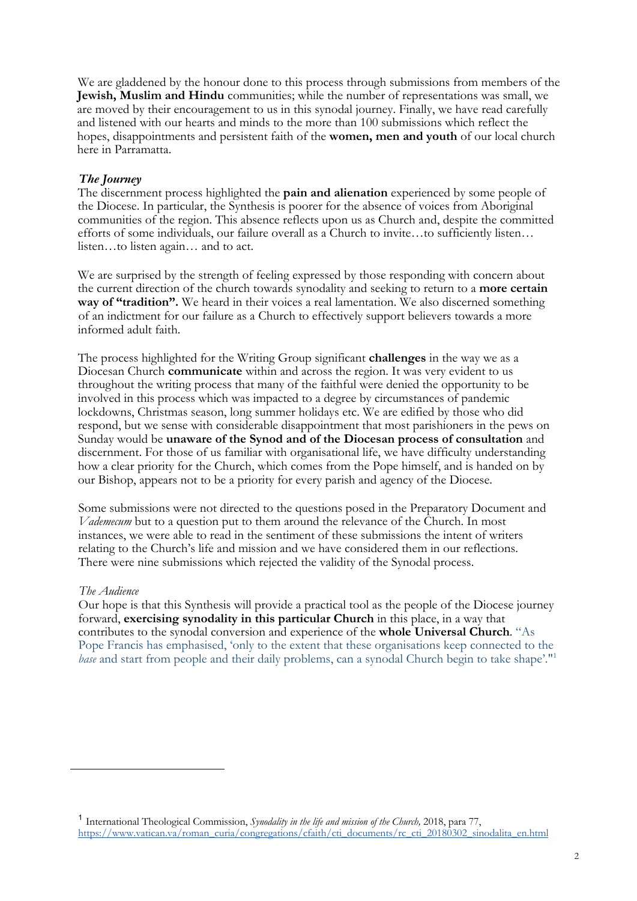We are gladdened by the honour done to this process through submissions from members of the **Jewish, Muslim and Hindu** communities; while the number of representations was small, we are moved by their encouragement to us in this synodal journey. Finally, we have read carefully and listened with our hearts and minds to the more than 100 submissions which reflect the hopes, disappointments and persistent faith of the **women, men and youth** of our local church here in Parramatta.

## *The Journey*

The discernment process highlighted the **pain and alienation** experienced by some people of the Diocese. In particular, the Synthesis is poorer for the absence of voices from Aboriginal communities of the region. This absence reflects upon us as Church and, despite the committed efforts of some individuals, our failure overall as a Church to invite…to sufficiently listen… listen…to listen again… and to act.

We are surprised by the strength of feeling expressed by those responding with concern about the current direction of the church towards synodality and seeking to return to a **more certain way of "tradition".** We heard in their voices a real lamentation. We also discerned something of an indictment for our failure as a Church to effectively support believers towards a more informed adult faith.

The process highlighted for the Writing Group significant **challenges** in the way we as a Diocesan Church **communicate** within and across the region. It was very evident to us throughout the writing process that many of the faithful were denied the opportunity to be involved in this process which was impacted to a degree by circumstances of pandemic lockdowns, Christmas season, long summer holidays etc. We are edified by those who did respond, but we sense with considerable disappointment that most parishioners in the pews on Sunday would be **unaware of the Synod and of the Diocesan process of consultation** and discernment. For those of us familiar with organisational life, we have difficulty understanding how a clear priority for the Church, which comes from the Pope himself, and is handed on by our Bishop, appears not to be a priority for every parish and agency of the Diocese.

Some submissions were not directed to the questions posed in the Preparatory Document and *Vademecum* but to a question put to them around the relevance of the Church. In most instances, we were able to read in the sentiment of these submissions the intent of writers relating to the Church's life and mission and we have considered them in our reflections. There were nine submissions which rejected the validity of the Synodal process.

#### *The Audience*

Our hope is that this Synthesis will provide a practical tool as the people of the Diocese journey forward, **exercising synodality in this particular Church** in this place, in a way that contributes to the synodal conversion and experience of the **whole Universal Church**. "As Pope Francis has emphasised, 'only to the extent that these organisations keep connected to the *base* and start from people and their daily problems, can a synodal Church begin to take shape'."<sup>1</sup>

<sup>1</sup> International Theological Commission, *Synodality in the life and mission of the Church,* 2018, para 77, https://www.vatican.va/roman\_curia/congregations/cfaith/cti\_documents/rc\_cti\_20180302\_sinodalita\_en.html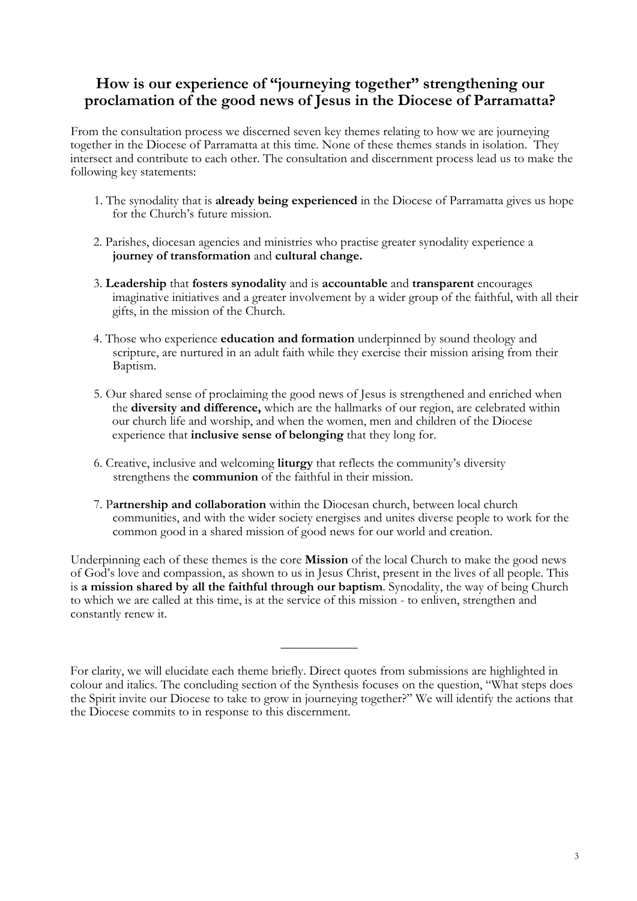# **How is our experience of "journeying together" strengthening our proclamation of the good news of Jesus in the Diocese of Parramatta?**

From the consultation process we discerned seven key themes relating to how we are journeying together in the Diocese of Parramatta at this time. None of these themes stands in isolation. They intersect and contribute to each other. The consultation and discernment process lead us to make the following key statements:

- 1. The synodality that is **already being experienced** in the Diocese of Parramatta gives us hope for the Church's future mission.
- 2. Parishes, diocesan agencies and ministries who practise greater synodality experience a **journey of transformation** and **cultural change.**
- 3. **Leadership** that **fosters synodality** and is **accountable** and **transparent** encourages imaginative initiatives and a greater involvement by a wider group of the faithful, with all their gifts, in the mission of the Church.
- 4. Those who experience **education and formation** underpinned by sound theology and scripture, are nurtured in an adult faith while they exercise their mission arising from their Baptism.
- 5. Our shared sense of proclaiming the good news of Jesus is strengthened and enriched when the **diversity and difference,** which are the hallmarks of our region, are celebrated within our church life and worship, and when the women, men and children of the Diocese experience that **inclusive sense of belonging** that they long for.
- 6. Creative, inclusive and welcoming **liturgy** that reflects the community's diversity strengthens the **communion** of the faithful in their mission.
- 7. P**artnership and collaboration** within the Diocesan church, between local church communities, and with the wider society energises and unites diverse people to work for the common good in a shared mission of good news for our world and creation.

Underpinning each of these themes is the core **Mission** of the local Church to make the good news of God's love and compassion, as shown to us in Jesus Christ, present in the lives of all people. This is **a mission shared by all the faithful through our baptism**. Synodality, the way of being Church to which we are called at this time, is at the service of this mission - to enliven, strengthen and constantly renew it.

 $\overline{\phantom{a}}$  , where  $\overline{\phantom{a}}$ 

For clarity, we will elucidate each theme briefly. Direct quotes from submissions are highlighted in colour and italics. The concluding section of the Synthesis focuses on the question, "What steps does the Spirit invite our Diocese to take to grow in journeying together?" We will identify the actions that the Diocese commits to in response to this discernment.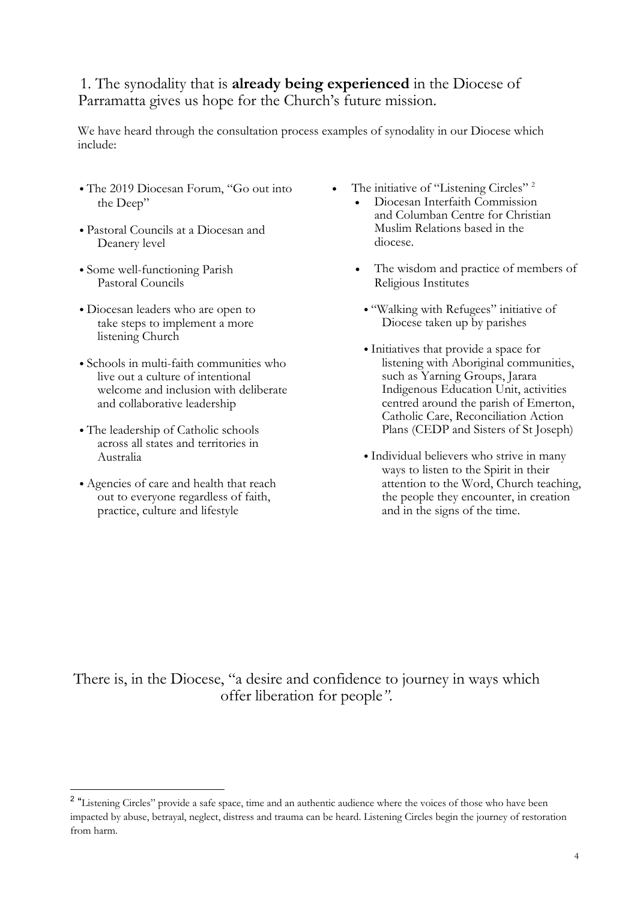# 1. The synodality that is **already being experienced** in the Diocese of Parramatta gives us hope for the Church's future mission.

We have heard through the consultation process examples of synodality in our Diocese which include:

- The 2019 Diocesan Forum, "Go out into the Deep"
- Pastoral Councils at a Diocesan and Deanery level
- Some well-functioning Parish Pastoral Councils
- Diocesan leaders who are open to take steps to implement a more listening Church
- Schools in multi-faith communities who live out a culture of intentional welcome and inclusion with deliberate and collaborative leadership
- The leadership of Catholic schools across all states and territories in Australia
- Agencies of care and health that reach out to everyone regardless of faith, practice, culture and lifestyle
- The initiative of "Listening Circles"<sup>2</sup>
	- Diocesan Interfaith Commission and Columban Centre for Christian Muslim Relations based in the diocese.
		- The wisdom and practice of members of Religious Institutes
		- "Walking with Refugees" initiative of Diocese taken up by parishes
		- Initiatives that provide a space for listening with Aboriginal communities, such as Yarning Groups, Jarara Indigenous Education Unit, activities centred around the parish of Emerton, Catholic Care, Reconciliation Action Plans (CEDP and Sisters of St Joseph)
		- Individual believers who strive in many ways to listen to the Spirit in their attention to the Word, Church teaching, the people they encounter, in creation and in the signs of the time.

There is, in the Diocese, "a desire and confidence to journey in ways which offer liberation for people*"*.

<sup>&</sup>lt;sup>2</sup> "Listening Circles" provide a safe space, time and an authentic audience where the voices of those who have been impacted by abuse, betrayal, neglect, distress and trauma can be heard. Listening Circles begin the journey of restoration from harm.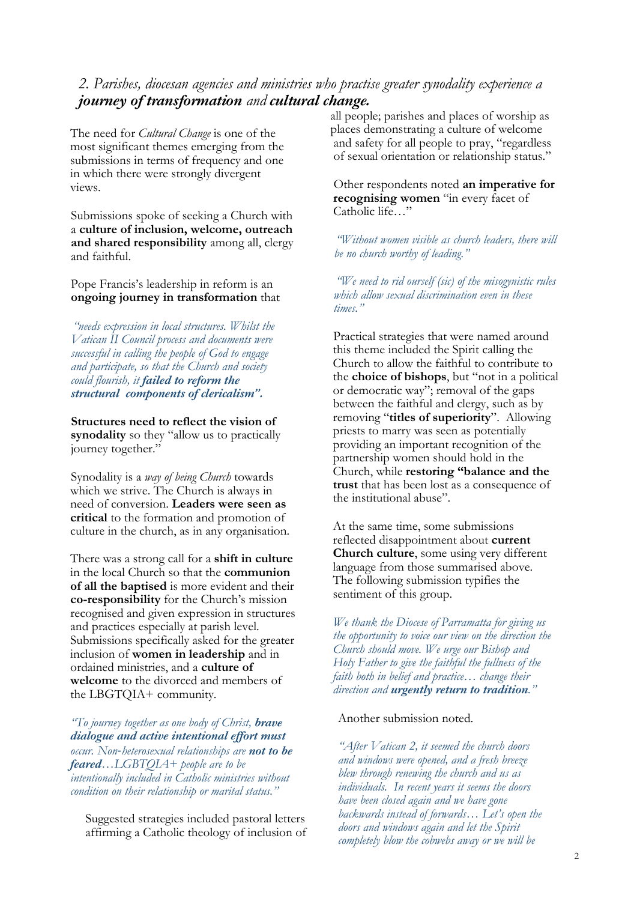## *2. Parishes, diocesan agencies and ministries who practise greater synodality experience a journey of transformation and cultural change.*

The need for *Cultural Change* is one of the most significant themes emerging from the submissions in terms of frequency and one in which there were strongly divergent views.

Submissions spoke of seeking a Church with a **culture of inclusion, welcome, outreach and shared responsibility** among all, clergy and faithful.

Pope Francis's leadership in reform is an **ongoing journey in transformation** that

*"needs expression in local structures. Whilst the Vatican II Council process and documents were successful in calling the people of God to engage and participate, so that the Church and society could flourish, it failed to reform the structural components of clericalism".* 

**Structures need to reflect the vision of synodality** so they "allow us to practically journey together."

Synodality is a *way of being Church* towards which we strive. The Church is always in need of conversion. **Leaders were seen as critical** to the formation and promotion of culture in the church, as in any organisation.

There was a strong call for a **shift in culture**  in the local Church so that the **communion of all the baptised** is more evident and their **co-responsibility** for the Church's mission recognised and given expression in structures and practices especially at parish level. Submissions specifically asked for the greater inclusion of **women in leadership** and in ordained ministries, and a **culture of welcome** to the divorced and members of the LBGTQIA+ community.

*"To journey together as one body of Christ, brave dialogue and active intentional effort must occur. Non*-*heterosexual relationships are not to be feared…LGBTQIA+ people are to be intentionally included in Catholic ministries without condition on their relationship or marital status."* 

Suggested strategies included pastoral letters affirming a Catholic theology of inclusion of all people; parishes and places of worship as places demonstrating a culture of welcome and safety for all people to pray, "regardless of sexual orientation or relationship status."

Other respondents noted **an imperative for recognising women** "in every facet of Catholic life…"

*"Without women visible as church leaders, there will be no church worthy of leading."* 

*"We need to rid ourself (sic) of the misogynistic rules which allow sexual discrimination even in these times."* 

Practical strategies that were named around this theme included the Spirit calling the Church to allow the faithful to contribute to the **choice of bishops**, but "not in a political or democratic way"; removal of the gaps between the faithful and clergy, such as by removing "**titles of superiority**". Allowing priests to marry was seen as potentially providing an important recognition of the partnership women should hold in the Church, while **restoring "balance and the trust** that has been lost as a consequence of the institutional abuse".

At the same time, some submissions reflected disappointment about **current Church culture**, some using very different language from those summarised above. The following submission typifies the sentiment of this group.

*We thank the Diocese of Parramatta for giving us the opportunity to voice our view on the direction the Church should move. We urge our Bishop and Holy Father to give the faithful the fullness of the faith both in belief and practice… change their direction and urgently return to tradition."* 

#### Another submission noted.

*"After Vatican 2, it seemed the church doors and windows were opened, and a fresh breeze blew through renewing the church and us as individuals. In recent years it seems the doors have been closed again and we have gone backwards instead of forwards… Let's open the doors and windows again and let the Spirit completely blow the cobwebs away or we will be*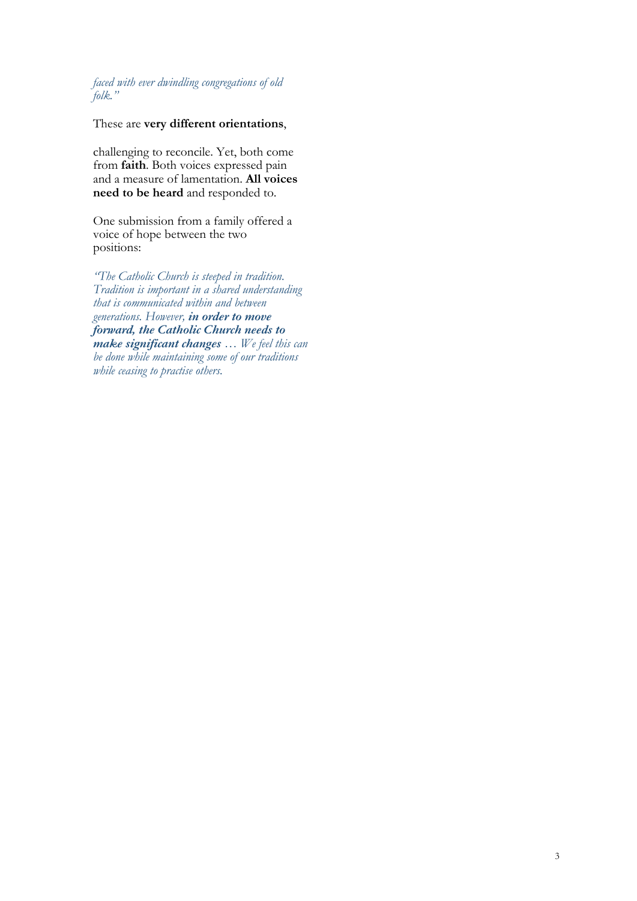*faced with ever dwindling congregations of old folk."* 

## These are **very different orientations**,

challenging to reconcile. Yet, both come from **faith**. Both voices expressed pain and a measure of lamentation. **All voices need to be heard** and responded to.

One submission from a family offered a voice of hope between the two positions:

*"The Catholic Church is steeped in tradition. Tradition is important in a shared understanding that is communicated within and between generations. However, in order to move forward, the Catholic Church needs to make significant changes … We feel this can be done while maintaining some of our traditions while ceasing to practise others.*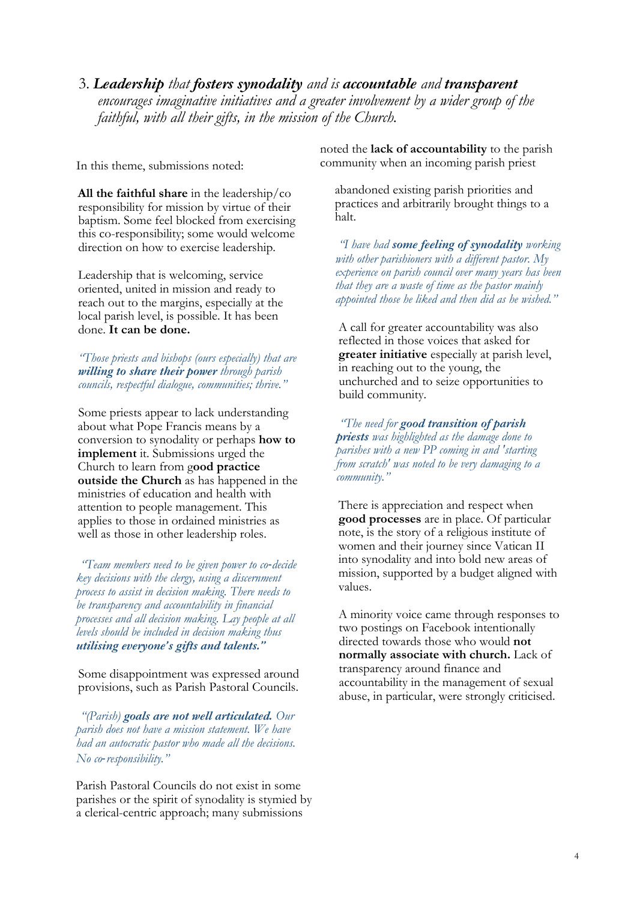3. *Leadership that fosters synodality and is accountable and transparent encourages imaginative initiatives and a greater involvement by a wider group of the faithful, with all their gifts, in the mission of the Church.* 

In this theme, submissions noted:

**All the faithful share** in the leadership/co responsibility for mission by virtue of their baptism. Some feel blocked from exercising this co-responsibility; some would welcome direction on how to exercise leadership.

Leadership that is welcoming, service oriented, united in mission and ready to reach out to the margins, especially at the local parish level, is possible. It has been done. **It can be done.** 

*"Those priests and bishops (ours especially) that are willing to share their power through parish councils, respectful dialogue, communities; thrive."* 

Some priests appear to lack understanding about what Pope Francis means by a conversion to synodality or perhaps **how to implement** it. Submissions urged the Church to learn from g**ood practice outside the Church** as has happened in the ministries of education and health with attention to people management. This applies to those in ordained ministries as well as those in other leadership roles.

*"Team members need to be given power to co*-*decide key decisions with the clergy, using a discernment process to assist in decision making. There needs to be transparency and accountability in financial processes and all decision making. Lay people at all levels should be included in decision making thus utilising everyone's gifts and talents."*

Some disappointment was expressed around provisions, such as Parish Pastoral Councils.

*"(Parish) goals are not well articulated. Our parish does not have a mission statement. We have had an autocratic pastor who made all the decisions. No co*-*responsibility."* 

Parish Pastoral Councils do not exist in some parishes or the spirit of synodality is stymied by a clerical-centric approach; many submissions

noted the **lack of accountability** to the parish community when an incoming parish priest

abandoned existing parish priorities and practices and arbitrarily brought things to a halt.

*"I have had some feeling of synodality working with other parishioners with a different pastor. My experience on parish council over many years has been that they are a waste of time as the pastor mainly appointed those he liked and then did as he wished."*

A call for greater accountability was also reflected in those voices that asked for **greater initiative** especially at parish level, in reaching out to the young, the unchurched and to seize opportunities to build community.

*"The need for good transition of parish priests was highlighted as the damage done to parishes with a new PP coming in and 'starting from scratch' was noted to be very damaging to a community."* 

There is appreciation and respect when **good processes** are in place. Of particular note, is the story of a religious institute of women and their journey since Vatican II into synodality and into bold new areas of mission, supported by a budget aligned with values.

A minority voice came through responses to two postings on Facebook intentionally directed towards those who would **not normally associate with church.** Lack of transparency around finance and accountability in the management of sexual abuse, in particular, were strongly criticised.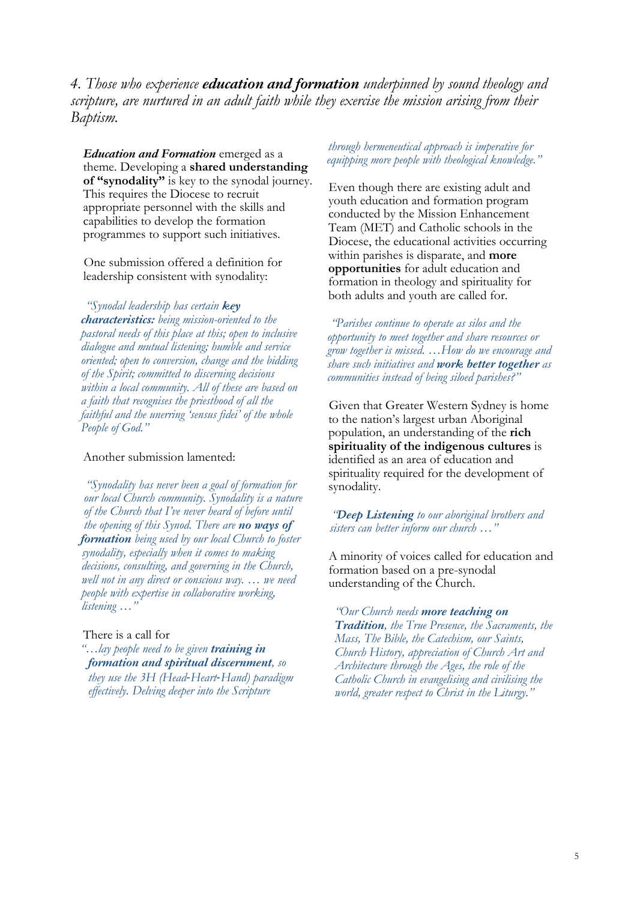*4. Those who experience education and formation underpinned by sound theology and scripture, are nurtured in an adult faith while they exercise the mission arising from their Baptism.* 

*Education and Formation* emerged as a theme. Developing a **shared understanding of "synodality"** is key to the synodal journey. This requires the Diocese to recruit appropriate personnel with the skills and capabilities to develop the formation programmes to support such initiatives.

One submission offered a definition for leadership consistent with synodality:

*"Synodal leadership has certain key characteristics: being mission-oriented to the pastoral needs of this place at this; open to inclusive dialogue and mutual listening; humble and service oriented; open to conversion, change and the bidding of the Spirit; committed to discerning decisions within a local community. All of these are based on a faith that recognises the priesthood of all the faithful and the unerring 'sensus fidei' of the whole People of God."* 

#### Another submission lamented:

*"Synodality has never been a goal of formation for our local Church community. Synodality is a nature of the Church that I've never heard of before until the opening of this Synod. There are no ways of formation being used by our local Church to foster synodality, especially when it comes to making decisions, consulting, and governing in the Church, well not in any direct or conscious way. … we need people with expertise in collaborative working, listening …"* 

#### There is a call for

*"…lay people need to be given training in formation and spiritual discernment, so they use the 3H (Head*-*Heart*-*Hand) paradigm effectively. Delving deeper into the Scripture* 

#### *through hermeneutical approach is imperative for equipping more people with theological knowledge."*

Even though there are existing adult and youth education and formation program conducted by the Mission Enhancement Team (MET) and Catholic schools in the Diocese, the educational activities occurring within parishes is disparate, and **more opportunities** for adult education and formation in theology and spirituality for both adults and youth are called for.

*"Parishes continue to operate as silos and the opportunity to meet together and share resources or grow together is missed. …How do we encourage and share such initiatives and work better together as communities instead of being siloed parishes?"*

Given that Greater Western Sydney is home to the nation's largest urban Aboriginal population, an understanding of the **rich spirituality of the indigenous cultures** is identified as an area of education and spirituality required for the development of synodality.

*"Deep Listening to our aboriginal brothers and sisters can better inform our church …"* 

A minority of voices called for education and formation based on a pre-synodal understanding of the Church.

*"Our Church needs more teaching on Tradition, the True Presence, the Sacraments, the Mass, The Bible, the Catechism, our Saints, Church History, appreciation of Church Art and Architecture through the Ages, the role of the Catholic Church in evangelising and civilising the world, greater respect to Christ in the Liturgy."*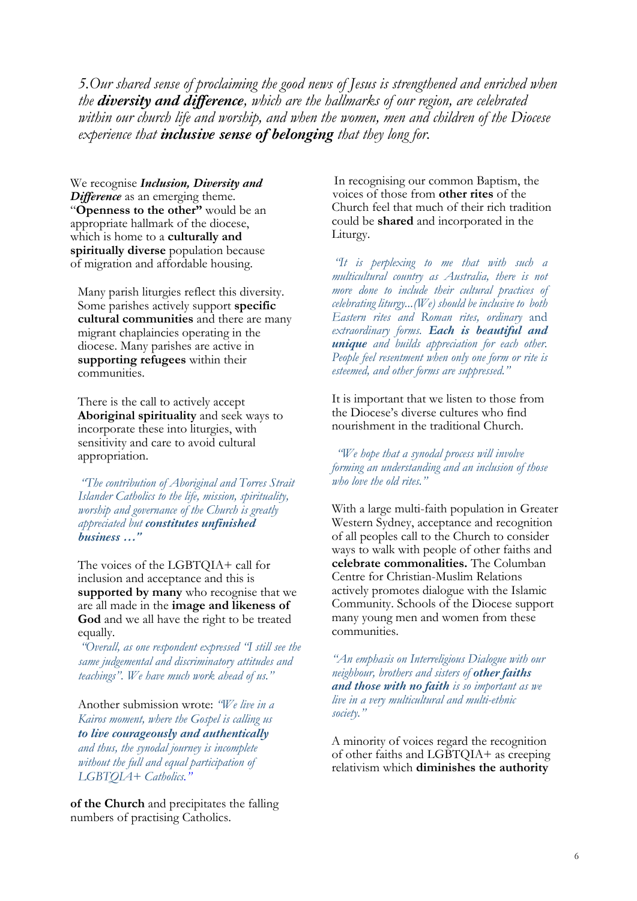*5.Our shared sense of proclaiming the good news of Jesus is strengthened and enriched when the diversity and difference, which are the hallmarks of our region, are celebrated within our church life and worship, and when the women, men and children of the Diocese experience that inclusive sense of belonging that they long for.* 

We recognise *Inclusion, Diversity and Difference* as an emerging theme. "**Openness to the other"** would be an appropriate hallmark of the diocese, which is home to a **culturally and spiritually diverse** population because of migration and affordable housing.

Many parish liturgies reflect this diversity. Some parishes actively support **specific cultural communities** and there are many migrant chaplaincies operating in the diocese. Many parishes are active in **supporting refugees** within their communities.

There is the call to actively accept **Aboriginal spirituality** and seek ways to incorporate these into liturgies, with sensitivity and care to avoid cultural appropriation.

*"The contribution of Aboriginal and Torres Strait Islander Catholics to the life, mission, spirituality, worship and governance of the Church is greatly appreciated but constitutes unfinished business …"*

The voices of the LGBTQIA+ call for inclusion and acceptance and this is **supported by many** who recognise that we are all made in the **image and likeness of God** and we all have the right to be treated equally.

*"Overall, as one respondent expressed "I still see the same judgemental and discriminatory attitudes and teachings". We have much work ahead of us."* 

Another submission wrote: *"We live in a Kairos moment, where the Gospel is calling us to live courageously and authentically and thus, the synodal journey is incomplete without the full and equal participation of LGBTQIA+ Catholics."* 

**of the Church** and precipitates the falling numbers of practising Catholics.

 In recognising our common Baptism, the voices of those from **other rites** of the Church feel that much of their rich tradition could be **shared** and incorporated in the Liturgy.

*"It is perplexing to me that with such a multicultural country as Australia, there is not more done to include their cultural practices of celebrating liturgy...(We) should be inclusive to both Eastern rites and Roman rites, ordinary* and *extraordinary forms. Each is beautiful and unique and builds appreciation for each other. People feel resentment when only one form or rite is esteemed, and other forms are suppressed."* 

It is important that we listen to those from the Diocese's diverse cultures who find nourishment in the traditional Church.

*"We hope that a synodal process will involve forming an understanding and an inclusion of those who love the old rites."* 

With a large multi-faith population in Greater Western Sydney, acceptance and recognition of all peoples call to the Church to consider ways to walk with people of other faiths and **celebrate commonalities.** The Columban Centre for Christian-Muslim Relations actively promotes dialogue with the Islamic Community. Schools of the Diocese support many young men and women from these communities.

*"An emphasis on Interreligious Dialogue with our neighbour, brothers and sisters of other faiths and those with no faith is so important as we live in a very multicultural and multi-ethnic society."* 

A minority of voices regard the recognition of other faiths and LGBTQIA+ as creeping relativism which **diminishes the authority**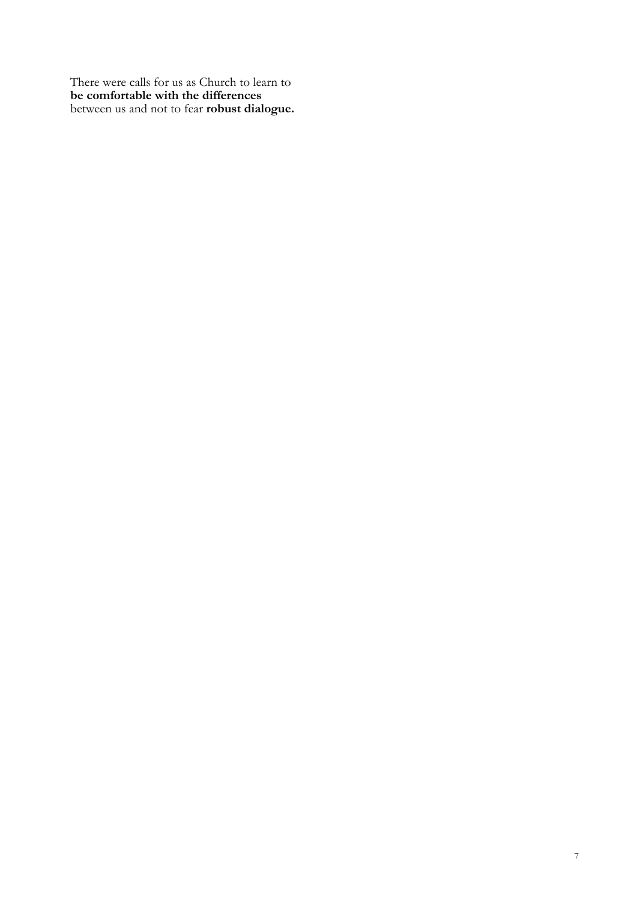There were calls for us as Church to learn to **be comfortable with the differences**  between us and not to fear **robust dialogue.**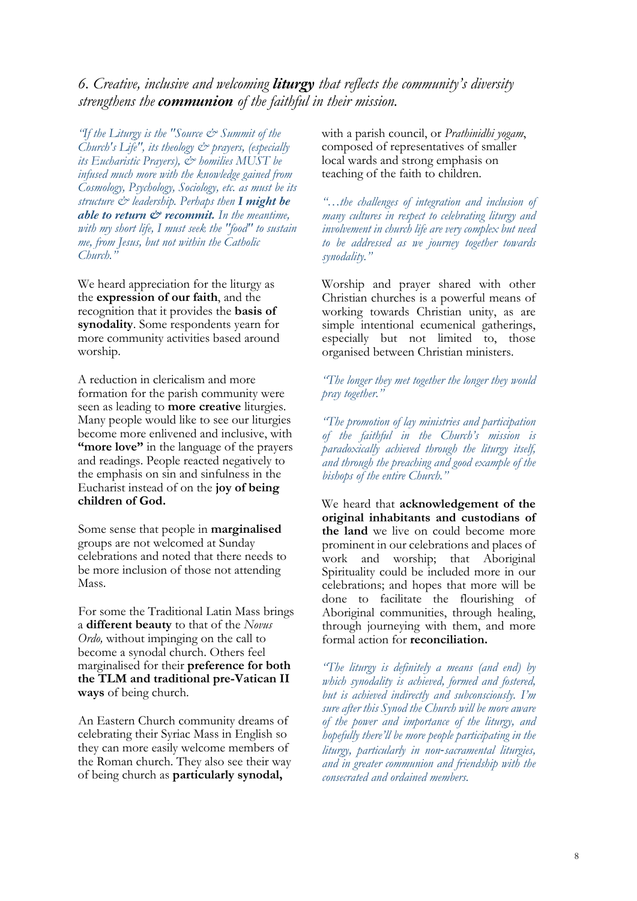## *6. Creative, inclusive and welcoming liturgy that reflects the community's diversity strengthens the communion of the faithful in their mission.*

*"If the Liturgy is the "Source & Summit of the Church's Life", its theology & prayers, (especially its Eucharistic Prayers), & homilies MUST be infused much more with the knowledge gained from Cosmology, Psychology, Sociology, etc. as must be its structure & leadership. Perhaps then I might be able to return & recommit. In the meantime, with my short life, I must seek the "food" to sustain me, from Jesus, but not within the Catholic Church."*

We heard appreciation for the liturgy as the **expression of our faith**, and the recognition that it provides the **basis of synodality**. Some respondents yearn for more community activities based around worship.

A reduction in clericalism and more formation for the parish community were seen as leading to **more creative** liturgies. Many people would like to see our liturgies become more enlivened and inclusive, with **"more love"** in the language of the prayers and readings. People reacted negatively to the emphasis on sin and sinfulness in the Eucharist instead of on the **joy of being children of God.** 

Some sense that people in **marginalised**  groups are not welcomed at Sunday celebrations and noted that there needs to be more inclusion of those not attending Mass.

For some the Traditional Latin Mass brings a **different beauty** to that of the *Novus Ordo,* without impinging on the call to become a synodal church. Others feel marginalised for their **preference for both the TLM and traditional pre-Vatican II ways** of being church.

An Eastern Church community dreams of celebrating their Syriac Mass in English so they can more easily welcome members of the Roman church. They also see their way of being church as **particularly synodal,** 

with a parish council, or *Prathinidhi yogam*, composed of representatives of smaller local wards and strong emphasis on teaching of the faith to children.

*"…the challenges of integration and inclusion of many cultures in respect to celebrating liturgy and involvement in church life are very complex but need to be addressed as we journey together towards synodality."* 

Worship and prayer shared with other Christian churches is a powerful means of working towards Christian unity, as are simple intentional ecumenical gatherings, especially but not limited to, those organised between Christian ministers.

*"The longer they met together the longer they would pray together."* 

*"The promotion of lay ministries and participation of the faithful in the Church's mission is paradoxically achieved through the liturgy itself, and through the preaching and good example of the bishops of the entire Church."* 

We heard that **acknowledgement of the original inhabitants and custodians of the land** we live on could become more prominent in our celebrations and places of work and worship; that Aboriginal Spirituality could be included more in our celebrations; and hopes that more will be done to facilitate the flourishing of Aboriginal communities, through healing, through journeying with them, and more formal action for **reconciliation.** 

*"The liturgy is definitely a means (and end) by which synodality is achieved, formed and fostered, but is achieved indirectly and subconsciously. I'm sure after this Synod the Church will be more aware of the power and importance of the liturgy, and hopefully there'll be more people participating in the liturgy, particularly in non*-*sacramental liturgies, and in greater communion and friendship with the consecrated and ordained members.*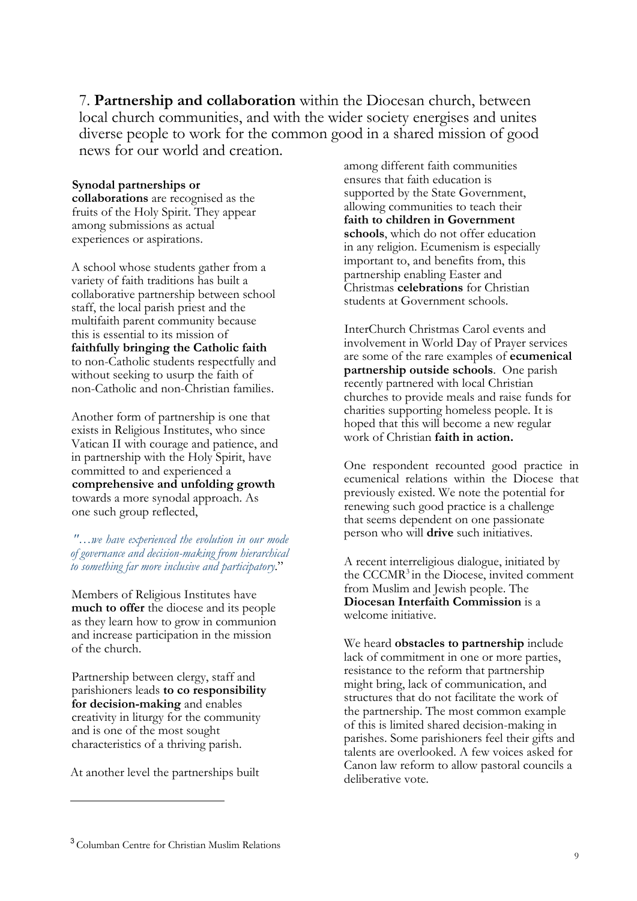7. **Partnership and collaboration** within the Diocesan church, between local church communities, and with the wider society energises and unites diverse people to work for the common good in a shared mission of good news for our world and creation.

### **Synodal partnerships or**

**collaborations** are recognised as the fruits of the Holy Spirit. They appear among submissions as actual experiences or aspirations.

A school whose students gather from a variety of faith traditions has built a collaborative partnership between school staff, the local parish priest and the multifaith parent community because this is essential to its mission of **faithfully bringing the Catholic faith**  to non-Catholic students respectfully and without seeking to usurp the faith of non-Catholic and non-Christian families.

Another form of partnership is one that exists in Religious Institutes, who since Vatican II with courage and patience, and in partnership with the Holy Spirit, have committed to and experienced a **comprehensive and unfolding growth**  towards a more synodal approach. As one such group reflected,

*"…we have experienced the evolution in our mode of governance and decision-making from hierarchical to something far more inclusive and participatory*."

Members of Religious Institutes have **much to offer** the diocese and its people as they learn how to grow in communion and increase participation in the mission of the church.

Partnership between clergy, staff and parishioners leads **to co responsibility for decision-making** and enables creativity in liturgy for the community and is one of the most sought characteristics of a thriving parish.

At another level the partnerships built

among different faith communities ensures that faith education is supported by the State Government, allowing communities to teach their **faith to children in Government schools**, which do not offer education in any religion. Ecumenism is especially important to, and benefits from, this partnership enabling Easter and Christmas **celebrations** for Christian students at Government schools.

InterChurch Christmas Carol events and involvement in World Day of Prayer services are some of the rare examples of **ecumenical partnership outside schools**. One parish recently partnered with local Christian churches to provide meals and raise funds for charities supporting homeless people. It is hoped that this will become a new regular work of Christian **faith in action.** 

One respondent recounted good practice in ecumenical relations within the Diocese that previously existed. We note the potential for renewing such good practice is a challenge that seems dependent on one passionate person who will **drive** such initiatives.

A recent interreligious dialogue, initiated by the CCCMR<sup>3</sup> in the Diocese, invited comment from Muslim and Jewish people. The **Diocesan Interfaith Commission** is a welcome initiative.

We heard **obstacles to partnership** include lack of commitment in one or more parties, resistance to the reform that partnership might bring, lack of communication, and structures that do not facilitate the work of the partnership. The most common example of this is limited shared decision-making in parishes. Some parishioners feel their gifts and talents are overlooked. A few voices asked for Canon law reform to allow pastoral councils a deliberative vote.

<sup>3</sup> Columban Centre for Christian Muslim Relations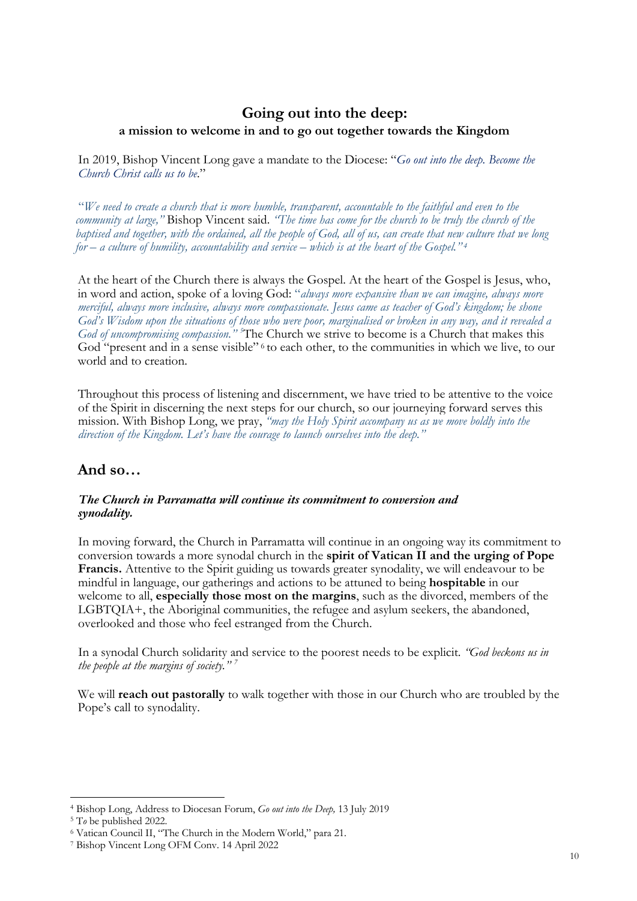## **Going out into the deep: a mission to welcome in and to go out together towards the Kingdom**

In 2019, Bishop Vincent Long gave a mandate to the Diocese: "*Go out into the deep. Become the Church Christ calls us to be*."

"*We need to create a church that is more humble, transparent, accountable to the faithful and even to the community at large,"* Bishop Vincent said. *"The time has come for the church to be truly the church of the baptised and together, with the ordained, all the people of God, all of us, can create that new culture that we long for – a culture of humility, accountability and service – which is at the heart of the Gospel." <sup>4</sup>*

At the heart of the Church there is always the Gospel. At the heart of the Gospel is Jesus, who, in word and action, spoke of a loving God: "*always more expansive than we can imagine, always more merciful, always more inclusive, always more compassionate. Jesus came as teacher of God's kingdom; he shone God's Wisdom upon the situations of those who were poor, marginalised or broken in any way, and it revealed a*  God of uncompromising compassion."<sup>5</sup>The Church we strive to become is a Church that makes this God "present and in a sense visible" <sup>6</sup> to each other, to the communities in which we live, to our world and to creation.

Throughout this process of listening and discernment, we have tried to be attentive to the voice of the Spirit in discerning the next steps for our church, so our journeying forward serves this mission. With Bishop Long, we pray, *"may the Holy Spirit accompany us as we move boldly into the direction of the Kingdom. Let's have the courage to launch ourselves into the deep."*

## **And so…**

## *The Church in Parramatta will continue its commitment to conversion and synodality.*

In moving forward, the Church in Parramatta will continue in an ongoing way its commitment to conversion towards a more synodal church in the **spirit of Vatican II and the urging of Pope Francis.** Attentive to the Spirit guiding us towards greater synodality, we will endeavour to be mindful in language, our gatherings and actions to be attuned to being **hospitable** in our welcome to all, **especially those most on the margins**, such as the divorced, members of the LGBTQIA+, the Aboriginal communities, the refugee and asylum seekers, the abandoned, overlooked and those who feel estranged from the Church.

In a synodal Church solidarity and service to the poorest needs to be explicit. *"God beckons us in the people at the margins of society." 7*

We will **reach out pastorally** to walk together with those in our Church who are troubled by the Pope's call to synodality.

<sup>4</sup> Bishop Long, Address to Diocesan Forum, *Go out into the Deep,* 13 July 2019

<sup>5</sup> T*o* be published 2022.

<sup>6</sup> Vatican Council II, "The Church in the Modern World," para 21.

<sup>7</sup> Bishop Vincent Long OFM Conv. 14 April 2022